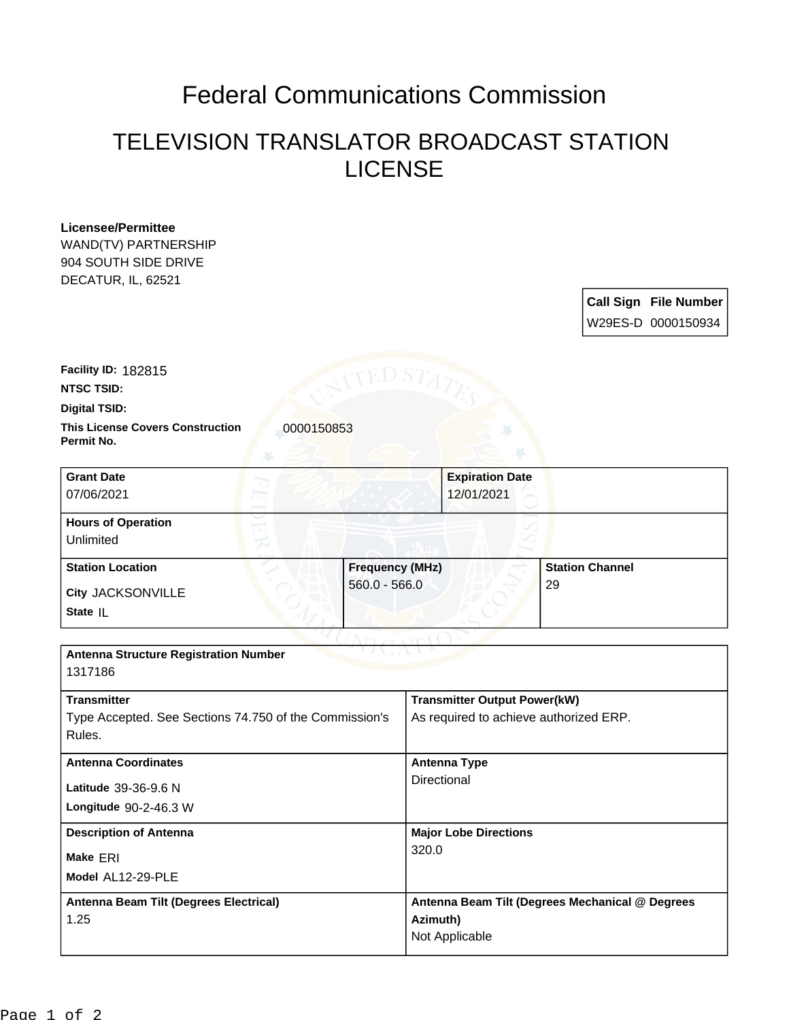## Federal Communications Commission

## TELEVISION TRANSLATOR BROADCAST STATION LICENSE

| <b>Licensee/Permittee</b><br>WAND(TV) PARTNERSHIP<br>904 SOUTH SIDE DRIVE<br>DECATUR, IL, 62521 |                        |             |                                                 |    |                        |                                                    |
|-------------------------------------------------------------------------------------------------|------------------------|-------------|-------------------------------------------------|----|------------------------|----------------------------------------------------|
|                                                                                                 |                        |             |                                                 |    |                        | <b>Call Sign File Number</b><br>W29ES-D 0000150934 |
| Facility ID: 182815                                                                             |                        | ED ST.      |                                                 |    |                        |                                                    |
| <b>NTSC TSID:</b>                                                                               |                        |             |                                                 |    |                        |                                                    |
| <b>Digital TSID:</b>                                                                            |                        |             |                                                 |    |                        |                                                    |
| <b>This License Covers Construction</b><br>0000150853<br>Permit No.                             |                        |             |                                                 |    |                        |                                                    |
| <b>Grant Date</b>                                                                               |                        |             | <b>Expiration Date</b>                          |    |                        |                                                    |
| 07/06/2021                                                                                      |                        |             | 12/01/2021                                      |    |                        |                                                    |
| <b>Hours of Operation</b>                                                                       |                        |             |                                                 |    |                        |                                                    |
| Unlimited                                                                                       |                        |             |                                                 |    |                        |                                                    |
| <b>Station Location</b>                                                                         | <b>Frequency (MHz)</b> |             |                                                 |    | <b>Station Channel</b> |                                                    |
| City JACKSONVILLE                                                                               | $560.0 - 566.0$        |             |                                                 | 29 |                        |                                                    |
| State IL                                                                                        |                        |             |                                                 |    |                        |                                                    |
|                                                                                                 |                        |             |                                                 |    |                        |                                                    |
| <b>Antenna Structure Registration Number</b><br>1317186                                         |                        |             |                                                 |    |                        |                                                    |
| <b>Transmitter</b>                                                                              |                        |             | <b>Transmitter Output Power(kW)</b>             |    |                        |                                                    |
| Type Accepted. See Sections 74.750 of the Commission's<br>Rules.                                |                        |             | As required to achieve authorized ERP.          |    |                        |                                                    |
| <b>Antenna Coordinates</b>                                                                      |                        |             | <b>Antenna Type</b>                             |    |                        |                                                    |
| Latitude 39-36-9.6 N                                                                            |                        | Directional |                                                 |    |                        |                                                    |
| Longitude 90-2-46.3 W                                                                           |                        |             |                                                 |    |                        |                                                    |
| <b>Description of Antenna</b>                                                                   |                        |             | <b>Major Lobe Directions</b>                    |    |                        |                                                    |
| Make ERI                                                                                        |                        | 320.0       |                                                 |    |                        |                                                    |
| Model AL12-29-PLE                                                                               |                        |             |                                                 |    |                        |                                                    |
| <b>Antenna Beam Tilt (Degrees Electrical)</b>                                                   |                        |             | Antenna Beam Tilt (Degrees Mechanical @ Degrees |    |                        |                                                    |
| 1.25                                                                                            |                        | Azimuth)    |                                                 |    |                        |                                                    |
|                                                                                                 |                        |             | Not Applicable                                  |    |                        |                                                    |